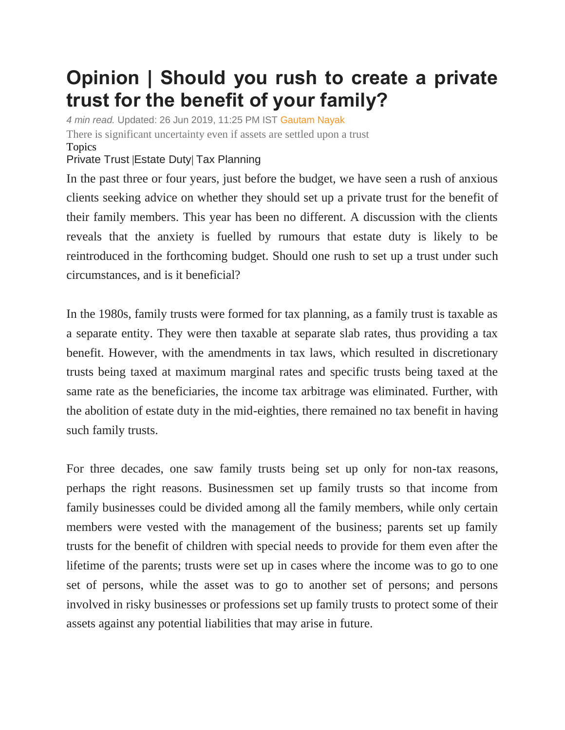## **Opinion | Should you rush to create a private trust for the benefit of your family?**

*4 min read.* Updated: 26 Jun 2019, 11:25 PM IST [Gautam Nayak](https://www.livemint.com/Search/Link/Author/Gautam%20Nayak) There is significant uncertainty even if assets are settled upon a trust Topics

## [Private](https://www.livemint.com/topic/private-trust) Trust |[Estate Duty](https://www.livemint.com/topic/estate-duty)| [Tax Planning](https://www.livemint.com/topic/tax-planning)

In the past three or four years, just before the budget, we have seen a rush of anxious clients seeking advice on whether they should set up a private trust for the benefit of their family members. This year has been no different. A discussion with the clients reveals that the anxiety is fuelled by rumours that estate duty is likely to be reintroduced in the forthcoming budget. Should one rush to set up a trust under such circumstances, and is it beneficial?

In the 1980s, family trusts were formed for tax planning, as a family trust is taxable as a separate entity. They were then taxable at separate slab rates, thus providing a tax benefit. However, with the amendments in tax laws, which resulted in discretionary trusts being taxed at maximum marginal rates and specific trusts being taxed at the same rate as the beneficiaries, the income tax arbitrage was eliminated. Further, with the abolition of estate duty in the mid-eighties, there remained no tax benefit in having such family trusts.

For three decades, one saw family trusts being set up only for non-tax reasons, perhaps the right reasons. Businessmen set up family trusts so that income from family businesses could be divided among all the family members, while only certain members were vested with the management of the business; parents set up family trusts for the benefit of children with special needs to provide for them even after the lifetime of the parents; trusts were set up in cases where the income was to go to one set of persons, while the asset was to go to another set of persons; and persons involved in risky businesses or professions set up family trusts to protect some of their assets against any potential liabilities that may arise in future.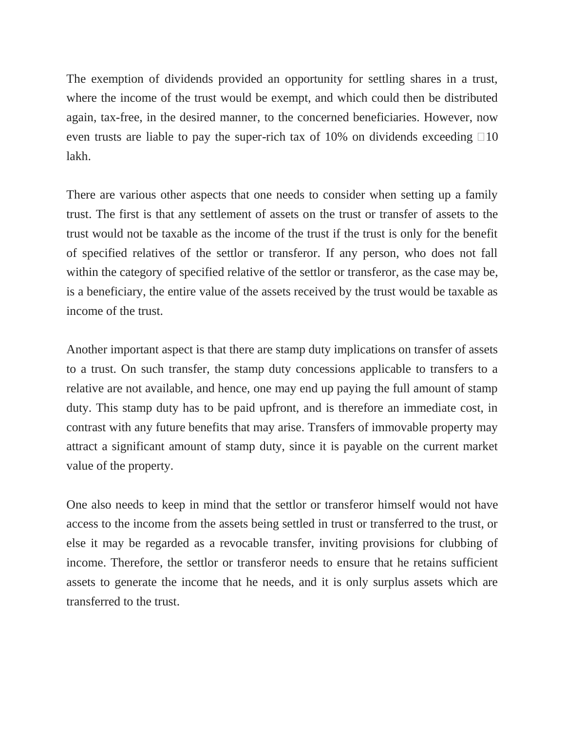The exemption of dividends provided an opportunity for settling shares in a trust, where the income of the trust would be exempt, and which could then be distributed again, tax-free, in the desired manner, to the concerned beneficiaries. However, now even trusts are liable to pay the super-rich tax of 10% on dividends exceeding  $\Box 10$ lakh.

There are various other aspects that one needs to consider when setting up a family trust. The first is that any settlement of assets on the trust or transfer of assets to the trust would not be taxable as the income of the trust if the trust is only for the benefit of specified relatives of the settlor or transferor. If any person, who does not fall within the category of specified relative of the settlor or transferor, as the case may be, is a beneficiary, the entire value of the assets received by the trust would be taxable as income of the trust.

Another important aspect is that there are stamp duty implications on transfer of assets to a trust. On such transfer, the stamp duty concessions applicable to transfers to a relative are not available, and hence, one may end up paying the full amount of stamp duty. This stamp duty has to be paid upfront, and is therefore an immediate cost, in contrast with any future benefits that may arise. Transfers of immovable property may attract a significant amount of stamp duty, since it is payable on the current market value of the property.

One also needs to keep in mind that the settlor or transferor himself would not have access to the income from the assets being settled in trust or transferred to the trust, or else it may be regarded as a revocable transfer, inviting provisions for clubbing of income. Therefore, the settlor or transferor needs to ensure that he retains sufficient assets to generate the income that he needs, and it is only surplus assets which are transferred to the trust.